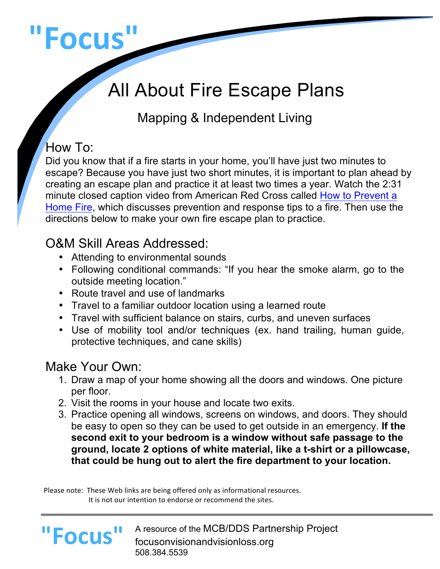# **"Focus"**

## All About Fire Escape Plans

#### Mapping & Independent Living

#### How To:

Did you know that if a fire starts in your home, you'll have just two minutes to escape? Because you have just two short minutes, it is important to plan ahead by creating an escape plan and practice it at least two times a year. Watch the 2:31 minute closed caption video from American Red Cross called How to Prevent a Home Fire, which discusses prevention and response tips to a fire. Then use the directions below to make your own fire escape plan to practice.

#### O&M Skill Areas Addressed:

- Attending to environmental sounds
- Following conditional commands: "If you hear the smoke alarm, go to the outside meeting location."
- Route travel and use of landmarks
- Travel to a familiar outdoor location using a learned route
- Travel with sufficient balance on stairs, curbs, and uneven surfaces
- Use of mobility tool and/or techniques (ex. hand trailing, human guide, protective techniques, and cane skills)

#### Make Your Own:

- 1. Draw a map of your home showing all the doors and windows. One picture per floor.
- 2. Visit the rooms in your house and locate two exits.
- 3. Practice opening all windows, screens on windows, and doors. They should be easy to open so they can be used to get outside in an emergency. **If the second exit to your bedroom is a window without safe passage to the ground, locate 2 options of white material, like a t-shirt or a pillowcase, that could be hung out to alert the fire department to your location.**

Please note: These Web links are being offered only as informational resources. It is not our intention to endorse or recommend the sites.

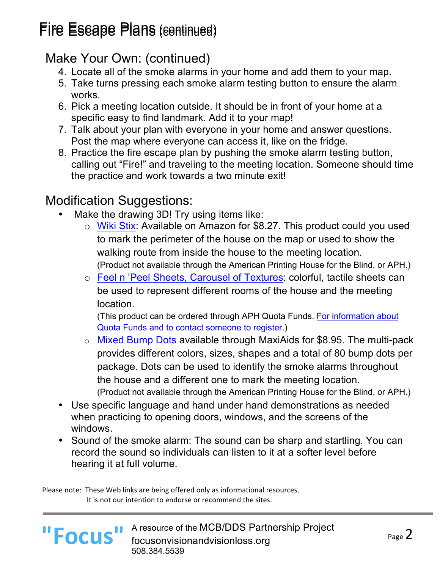## Fire Escape Plans (continued)

#### Make Your Own: (continued)

- 4. Locate all of the smoke alarms in your home and add them to your map.
- 5. Take turns pressing each smoke alarm testing button to ensure the alarm works.
- 6. Pick a meeting location outside. It should be in front of your home at a specific easy to find landmark. Add it to your map!
- 7. Talk about your plan with everyone in your home and answer questions. Post the map where everyone can access it, like on the fridge.
- 8. Practice the fire escape plan by pushing the smoke alarm testing button, calling out "Fire!" and traveling to the meeting location. Someone should time the practice and work towards a two minute exit!

#### Modification Suggestions:

- Make the drawing 3D! Try using items like:
	- o Wiki Stix: Available on Amazon for \$8.27. This product could you used to mark the perimeter of the house on the map or used to show the walking route from inside the house to the meeting location. (Product not available through the American Printing House for the Blind, or APH.)
	- o Feel n 'Peel Sheets, Carousel of Textures: colorful, tactile sheets can be used to represent different rooms of the house and the meeting location.

(This product can be ordered through APH Quota Funds. For information about Quota Funds and to contact someone to register.)

- o Mixed Bump Dots available through MaxiAids for \$8.95. The multi-pack provides different colors, sizes, shapes and a total of 80 bump dots per package. Dots can be used to identify the smoke alarms throughout the house and a different one to mark the meeting location. (Product not available through the American Printing House for the Blind, or APH.)
- Use specific language and hand under hand demonstrations as needed when practicing to opening doors, windows, and the screens of the windows.
- Sound of the smoke alarm: The sound can be sharp and startling. You can record the sound so individuals can listen to it at a softer level before hearing it at full volume.

Please note: These Web links are being offered only as informational resources. It is not our intention to endorse or recommend the sites.



L